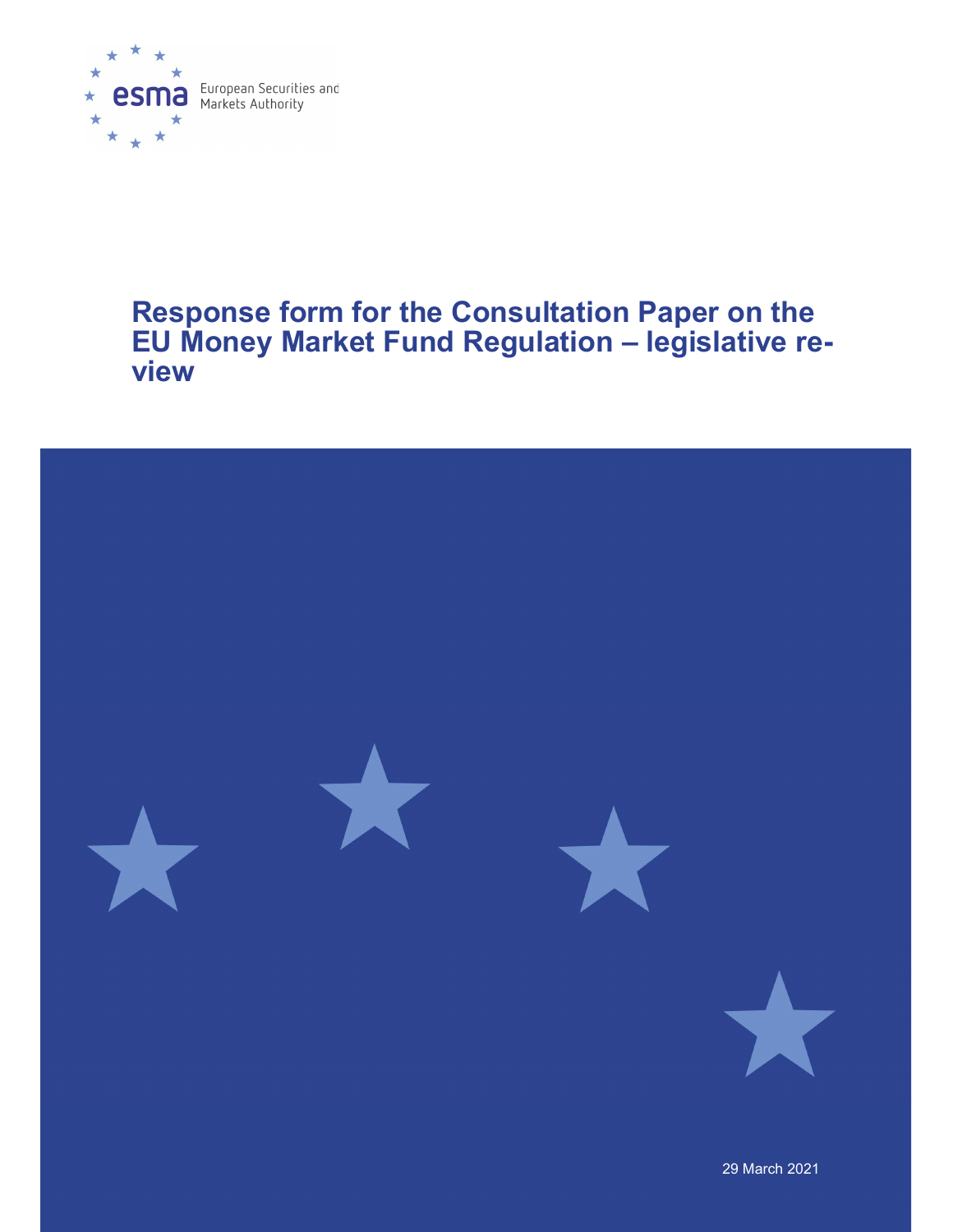

# Response form for the Consultation Paper on the EU Money Market Fund Regulation – legislative review

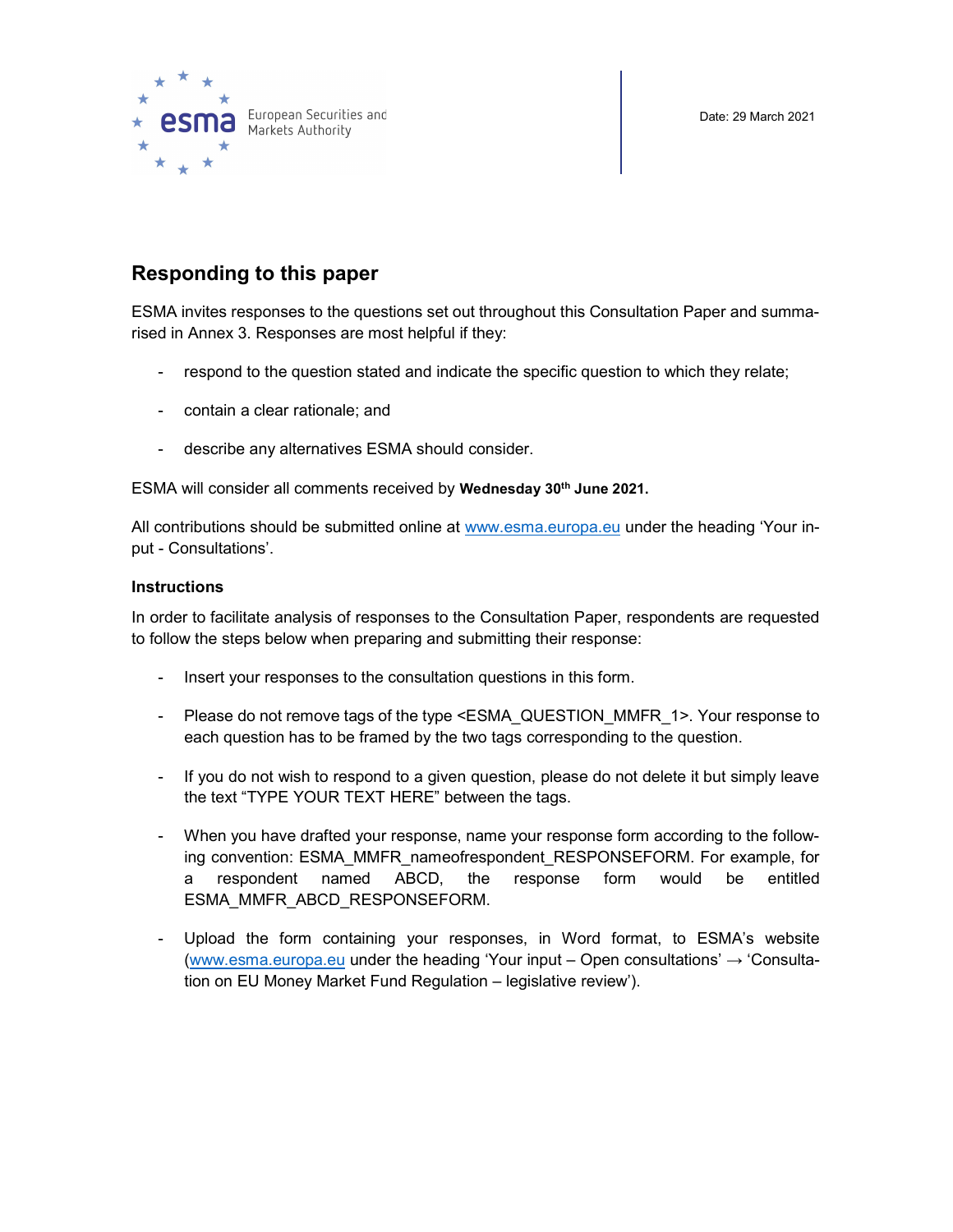Date: 29 March 2021



# Responding to this paper

ESMA invites responses to the questions set out throughout this Consultation Paper and summarised in Annex 3. Responses are most helpful if they:

- respond to the question stated and indicate the specific question to which they relate;
- contain a clear rationale; and
- describe any alternatives ESMA should consider.

ESMA will consider all comments received by Wednesday 30<sup>th</sup> June 2021.

All contributions should be submitted online at www.esma.europa.eu under the heading 'Your input - Consultations'.

# **Instructions**

In order to facilitate analysis of responses to the Consultation Paper, respondents are requested to follow the steps below when preparing and submitting their response:

- Insert your responses to the consultation questions in this form.
- Please do not remove tags of the type <ESMA\_QUESTION\_MMFR\_1>. Your response to each question has to be framed by the two tags corresponding to the question.
- If you do not wish to respond to a given question, please do not delete it but simply leave the text "TYPE YOUR TEXT HERE" between the tags.
- When you have drafted your response, name your response form according to the following convention: ESMA\_MMFR\_nameofrespondent\_RESPONSEFORM. For example, for a respondent named ABCD, the response form would be entitled ESMA\_MMFR\_ABCD\_RESPONSEFORM.
- Upload the form containing your responses, in Word format, to ESMA's website (www.esma.europa.eu under the heading 'Your input – Open consultations'  $\rightarrow$  'Consultation on EU Money Market Fund Regulation – legislative review').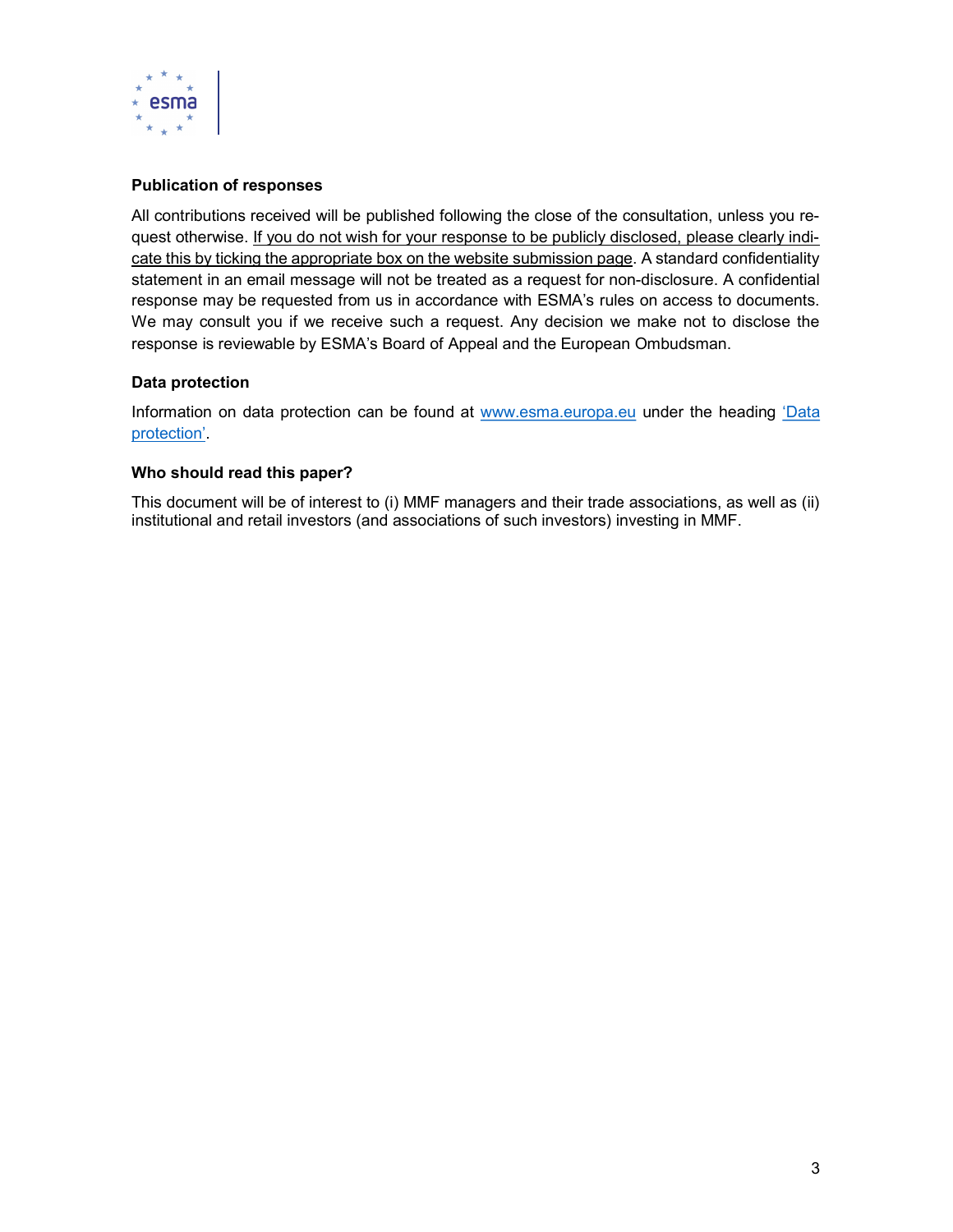

# Publication of responses

All contributions received will be published following the close of the consultation, unless you request otherwise. If you do not wish for your response to be publicly disclosed, please clearly indicate this by ticking the appropriate box on the website submission page. A standard confidentiality statement in an email message will not be treated as a request for non-disclosure. A confidential response may be requested from us in accordance with ESMA's rules on access to documents. We may consult you if we receive such a request. Any decision we make not to disclose the response is reviewable by ESMA's Board of Appeal and the European Ombudsman.

# Data protection

Information on data protection can be found at www.esma.europa.eu under the heading 'Data protection'.

#### Who should read this paper?

This document will be of interest to (i) MMF managers and their trade associations, as well as (ii) institutional and retail investors (and associations of such investors) investing in MMF.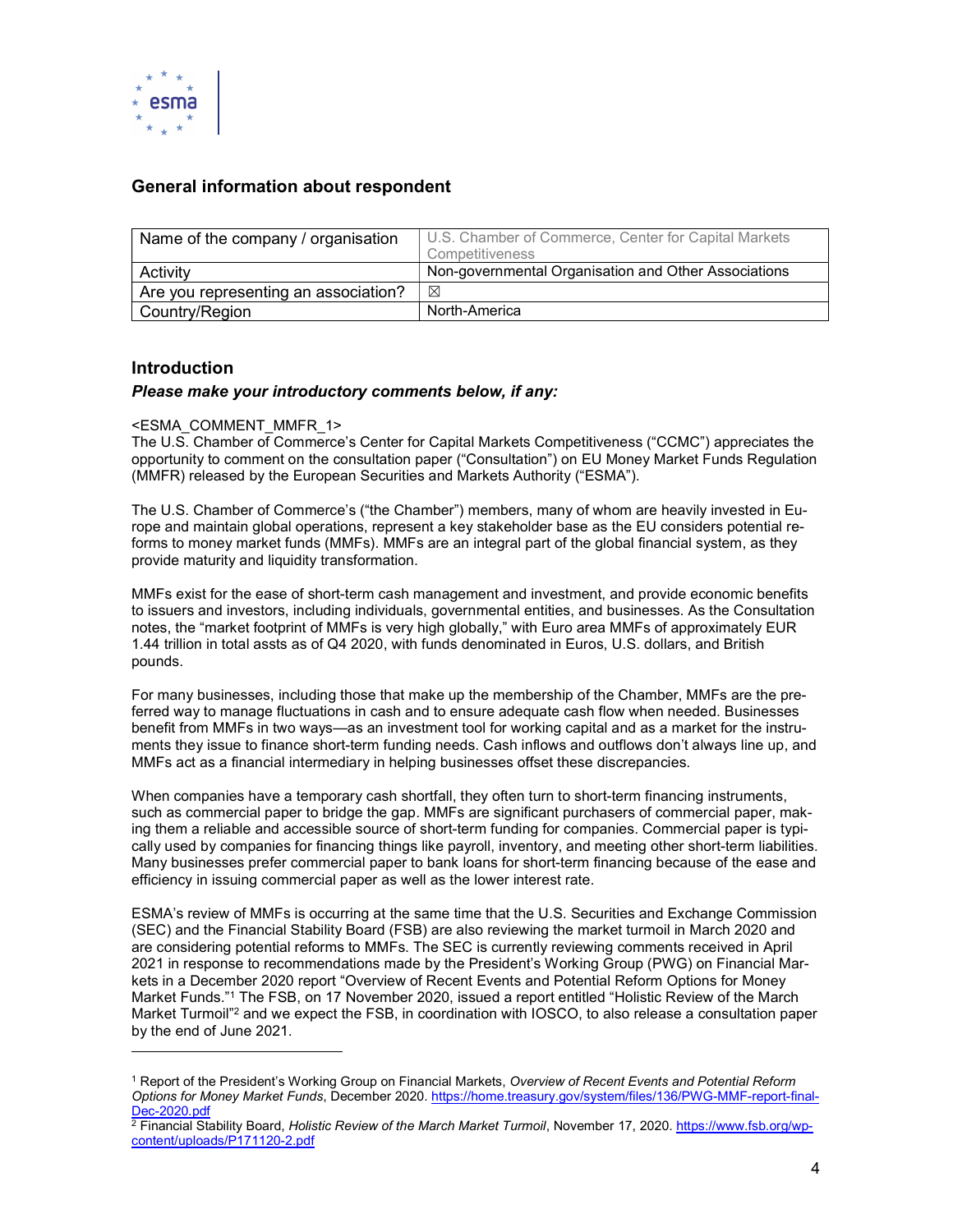

# General information about respondent

| Name of the company / organisation   | U.S. Chamber of Commerce, Center for Capital Markets<br>Competitiveness |
|--------------------------------------|-------------------------------------------------------------------------|
| Activity                             | Non-governmental Organisation and Other Associations                    |
| Are you representing an association? | ⊠                                                                       |
| Country/Region                       | North-America                                                           |

# Introduction

-

#### Please make your introductory comments below, if any:

#### <ESMA\_COMMENT\_MMFR\_1>

The U.S. Chamber of Commerce's Center for Capital Markets Competitiveness ("CCMC") appreciates the opportunity to comment on the consultation paper ("Consultation") on EU Money Market Funds Regulation (MMFR) released by the European Securities and Markets Authority ("ESMA").

The U.S. Chamber of Commerce's ("the Chamber") members, many of whom are heavily invested in Europe and maintain global operations, represent a key stakeholder base as the EU considers potential reforms to money market funds (MMFs). MMFs are an integral part of the global financial system, as they provide maturity and liquidity transformation.

MMFs exist for the ease of short-term cash management and investment, and provide economic benefits to issuers and investors, including individuals, governmental entities, and businesses. As the Consultation notes, the "market footprint of MMFs is very high globally," with Euro area MMFs of approximately EUR 1.44 trillion in total assts as of Q4 2020, with funds denominated in Euros, U.S. dollars, and British pounds.

For many businesses, including those that make up the membership of the Chamber, MMFs are the preferred way to manage fluctuations in cash and to ensure adequate cash flow when needed. Businesses benefit from MMFs in two ways—as an investment tool for working capital and as a market for the instruments they issue to finance short-term funding needs. Cash inflows and outflows don't always line up, and MMFs act as a financial intermediary in helping businesses offset these discrepancies.

When companies have a temporary cash shortfall, they often turn to short-term financing instruments, such as commercial paper to bridge the gap. MMFs are significant purchasers of commercial paper, making them a reliable and accessible source of short-term funding for companies. Commercial paper is typically used by companies for financing things like payroll, inventory, and meeting other short-term liabilities. Many businesses prefer commercial paper to bank loans for short-term financing because of the ease and efficiency in issuing commercial paper as well as the lower interest rate.

ESMA's review of MMFs is occurring at the same time that the U.S. Securities and Exchange Commission (SEC) and the Financial Stability Board (FSB) are also reviewing the market turmoil in March 2020 and are considering potential reforms to MMFs. The SEC is currently reviewing comments received in April 2021 in response to recommendations made by the President's Working Group (PWG) on Financial Markets in a December 2020 report "Overview of Recent Events and Potential Reform Options for Money Market Funds."<sup>1</sup> The FSB, on 17 November 2020, issued a report entitled "Holistic Review of the March Market Turmoil"<sup>2</sup> and we expect the FSB, in coordination with IOSCO, to also release a consultation paper by the end of June 2021.

<sup>&</sup>lt;sup>1</sup> Report of the President's Working Group on Financial Markets, Overview of Recent Events and Potential Reform Options for Money Market Funds, December 2020. https://home.treasury.gov/system/files/136/PWG-MMF-report-final-Dec-2020.pdf

<sup>&</sup>lt;sup>2</sup> Financial Stability Board, *Holistic Review of the March Market Turmoil*, November 17, 2020. <u>https://www.fsb.org/wp-</u> content/uploads/P171120-2.pdf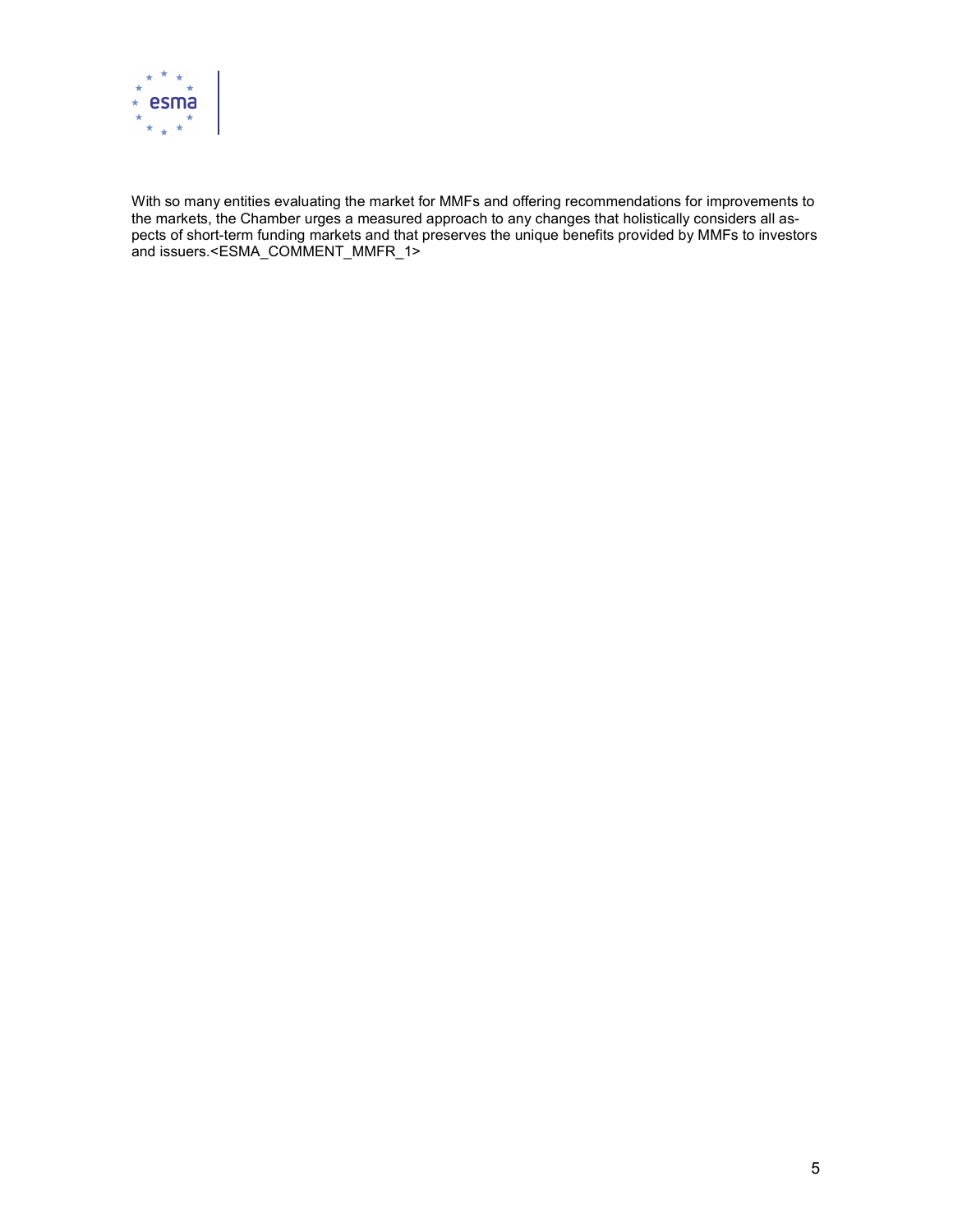

With so many entities evaluating the market for MMFs and offering recommendations for improvements to the markets, the Chamber urges a measured approach to any changes that holistically considers all aspects of short-term funding markets and that preserves the unique benefits provided by MMFs to investors and issuers.<ESMA\_COMMENT\_MMFR\_1>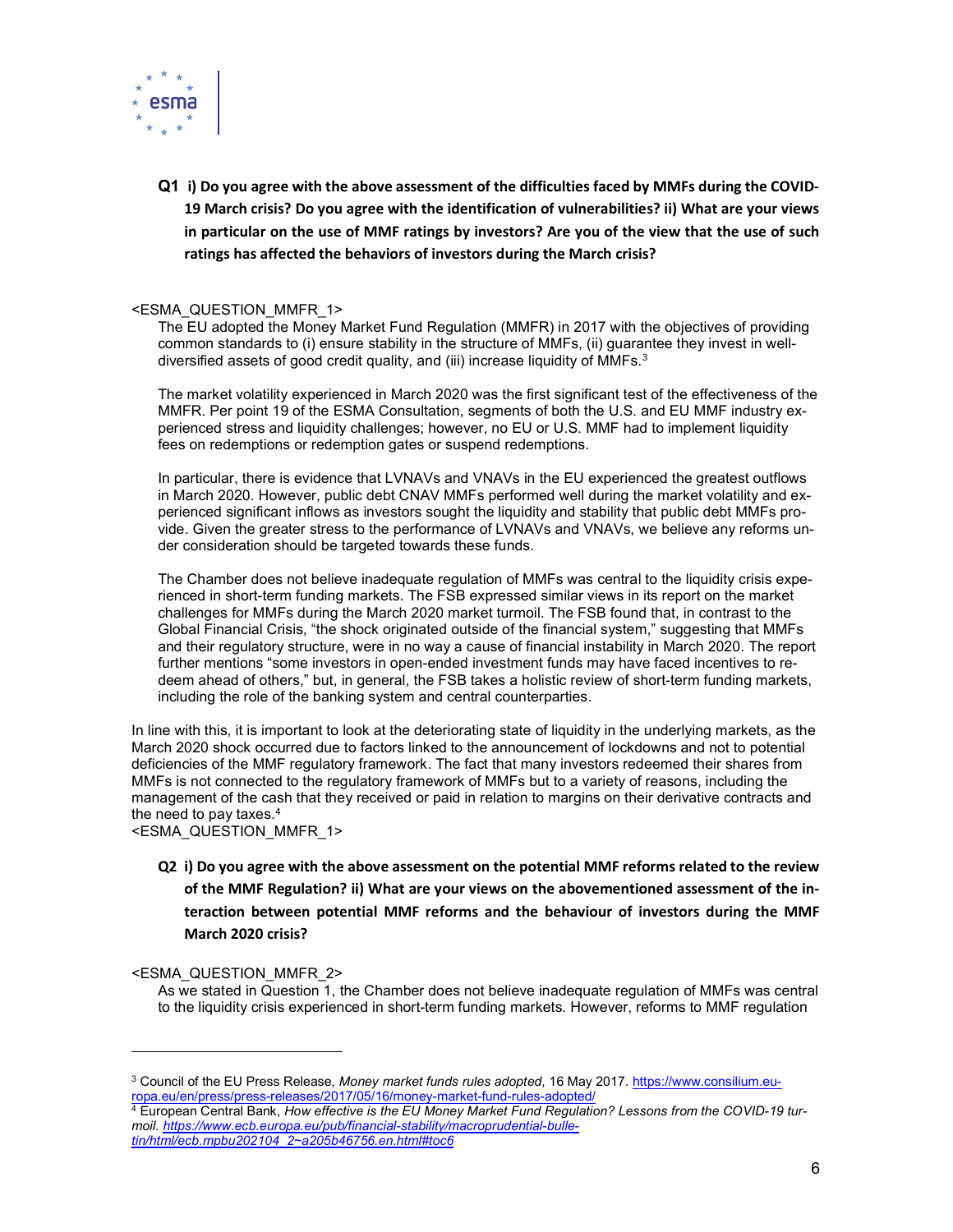

Q1 i) Do you agree with the above assessment of the difficulties faced by MMFs during the COVID-19 March crisis? Do you agree with the identification of vulnerabilities? ii) What are your views in particular on the use of MMF ratings by investors? Are you of the view that the use of such ratings has affected the behaviors of investors during the March crisis?

#### <ESMA\_QUESTION\_MMFR\_1>

The EU adopted the Money Market Fund Regulation (MMFR) in 2017 with the objectives of providing common standards to (i) ensure stability in the structure of MMFs, (ii) guarantee they invest in welldiversified assets of good credit quality, and (iii) increase liquidity of MMFs. $3$ 

The market volatility experienced in March 2020 was the first significant test of the effectiveness of the MMFR. Per point 19 of the ESMA Consultation, segments of both the U.S. and EU MMF industry experienced stress and liquidity challenges; however, no EU or U.S. MMF had to implement liquidity fees on redemptions or redemption gates or suspend redemptions.

In particular, there is evidence that LVNAVs and VNAVs in the EU experienced the greatest outflows in March 2020. However, public debt CNAV MMFs performed well during the market volatility and experienced significant inflows as investors sought the liquidity and stability that public debt MMFs provide. Given the greater stress to the performance of LVNAVs and VNAVs, we believe any reforms under consideration should be targeted towards these funds.

The Chamber does not believe inadequate regulation of MMFs was central to the liquidity crisis experienced in short-term funding markets. The FSB expressed similar views in its report on the market challenges for MMFs during the March 2020 market turmoil. The FSB found that, in contrast to the Global Financial Crisis, "the shock originated outside of the financial system," suggesting that MMFs and their regulatory structure, were in no way a cause of financial instability in March 2020. The report further mentions "some investors in open-ended investment funds may have faced incentives to redeem ahead of others," but, in general, the FSB takes a holistic review of short-term funding markets, including the role of the banking system and central counterparties.

In line with this, it is important to look at the deteriorating state of liquidity in the underlying markets, as the March 2020 shock occurred due to factors linked to the announcement of lockdowns and not to potential deficiencies of the MMF regulatory framework. The fact that many investors redeemed their shares from MMFs is not connected to the regulatory framework of MMFs but to a variety of reasons, including the management of the cash that they received or paid in relation to margins on their derivative contracts and the need to pay taxes.<sup>4</sup>

<ESMA\_QUESTION\_MMFR\_1>

Q2 i) Do you agree with the above assessment on the potential MMF reforms related to the review of the MMF Regulation? ii) What are your views on the abovementioned assessment of the interaction between potential MMF reforms and the behaviour of investors during the MMF March 2020 crisis?

#### <ESMA\_QUESTION\_MMFR\_2>

-

As we stated in Question 1, the Chamber does not believe inadequate regulation of MMFs was central to the liquidity crisis experienced in short-term funding markets. However, reforms to MMF regulation

<sup>&</sup>lt;sup>3</sup> Council of the EU Press Release, *Money market funds rules adopted*, 16 May 2017. https://www.consilium.europa.eu/en/press/press-releases/2017/05/16/money-market-fund-rules-adopted/

<sup>4</sup> European Central Bank, How effective is the EU Money Market Fund Regulation? Lessons from the COVID-19 turmoil. https://www.ecb.europa.eu/pub/financial-stability/macroprudential-bulletin/html/ecb.mpbu202104\_2~a205b46756.en.html#toc6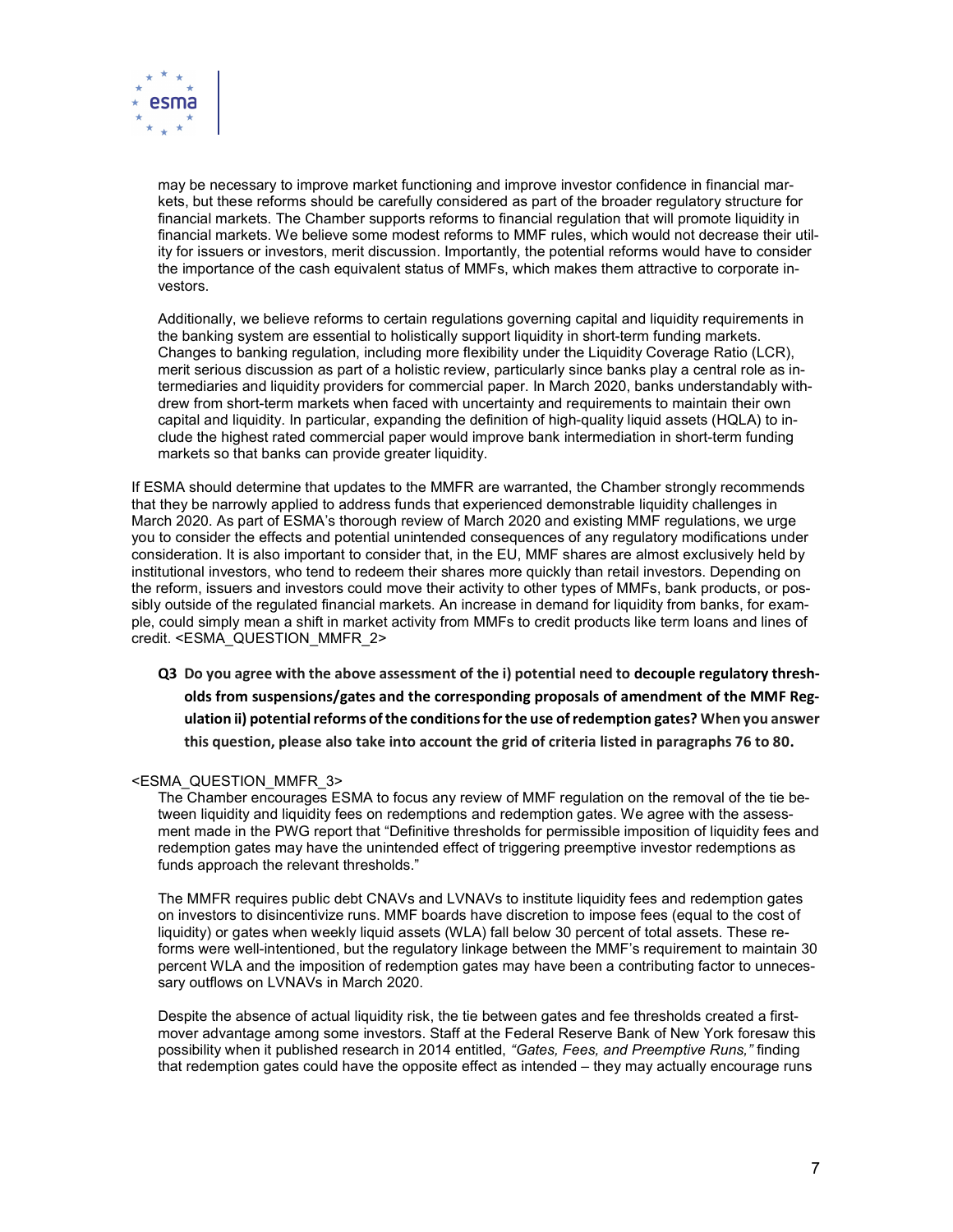

may be necessary to improve market functioning and improve investor confidence in financial markets, but these reforms should be carefully considered as part of the broader regulatory structure for financial markets. The Chamber supports reforms to financial regulation that will promote liquidity in financial markets. We believe some modest reforms to MMF rules, which would not decrease their utility for issuers or investors, merit discussion. Importantly, the potential reforms would have to consider the importance of the cash equivalent status of MMFs, which makes them attractive to corporate investors.

Additionally, we believe reforms to certain regulations governing capital and liquidity requirements in the banking system are essential to holistically support liquidity in short-term funding markets. Changes to banking regulation, including more flexibility under the Liquidity Coverage Ratio (LCR), merit serious discussion as part of a holistic review, particularly since banks play a central role as intermediaries and liquidity providers for commercial paper. In March 2020, banks understandably withdrew from short-term markets when faced with uncertainty and requirements to maintain their own capital and liquidity. In particular, expanding the definition of high-quality liquid assets (HQLA) to include the highest rated commercial paper would improve bank intermediation in short-term funding markets so that banks can provide greater liquidity.

If ESMA should determine that updates to the MMFR are warranted, the Chamber strongly recommends that they be narrowly applied to address funds that experienced demonstrable liquidity challenges in March 2020. As part of ESMA's thorough review of March 2020 and existing MMF regulations, we urge you to consider the effects and potential unintended consequences of any regulatory modifications under consideration. It is also important to consider that, in the EU, MMF shares are almost exclusively held by institutional investors, who tend to redeem their shares more quickly than retail investors. Depending on the reform, issuers and investors could move their activity to other types of MMFs, bank products, or possibly outside of the regulated financial markets. An increase in demand for liquidity from banks, for example, could simply mean a shift in market activity from MMFs to credit products like term loans and lines of credit. <ESMA\_QUESTION\_MMFR\_2>

Q3 Do you agree with the above assessment of the i) potential need to decouple regulatory thresholds from suspensions/gates and the corresponding proposals of amendment of the MMF Regulation ii) potential reforms of the conditions for the use of redemption gates? When you answer this question, please also take into account the grid of criteria listed in paragraphs 76 to 80.

#### <ESMA\_QUESTION\_MMFR\_3>

The Chamber encourages ESMA to focus any review of MMF regulation on the removal of the tie between liquidity and liquidity fees on redemptions and redemption gates. We agree with the assessment made in the PWG report that "Definitive thresholds for permissible imposition of liquidity fees and redemption gates may have the unintended effect of triggering preemptive investor redemptions as funds approach the relevant thresholds."

The MMFR requires public debt CNAVs and LVNAVs to institute liquidity fees and redemption gates on investors to disincentivize runs. MMF boards have discretion to impose fees (equal to the cost of liquidity) or gates when weekly liquid assets (WLA) fall below 30 percent of total assets. These reforms were well-intentioned, but the regulatory linkage between the MMF's requirement to maintain 30 percent WLA and the imposition of redemption gates may have been a contributing factor to unnecessary outflows on LVNAVs in March 2020.

Despite the absence of actual liquidity risk, the tie between gates and fee thresholds created a firstmover advantage among some investors. Staff at the Federal Reserve Bank of New York foresaw this possibility when it published research in 2014 entitled, "Gates, Fees, and Preemptive Runs," finding that redemption gates could have the opposite effect as intended – they may actually encourage runs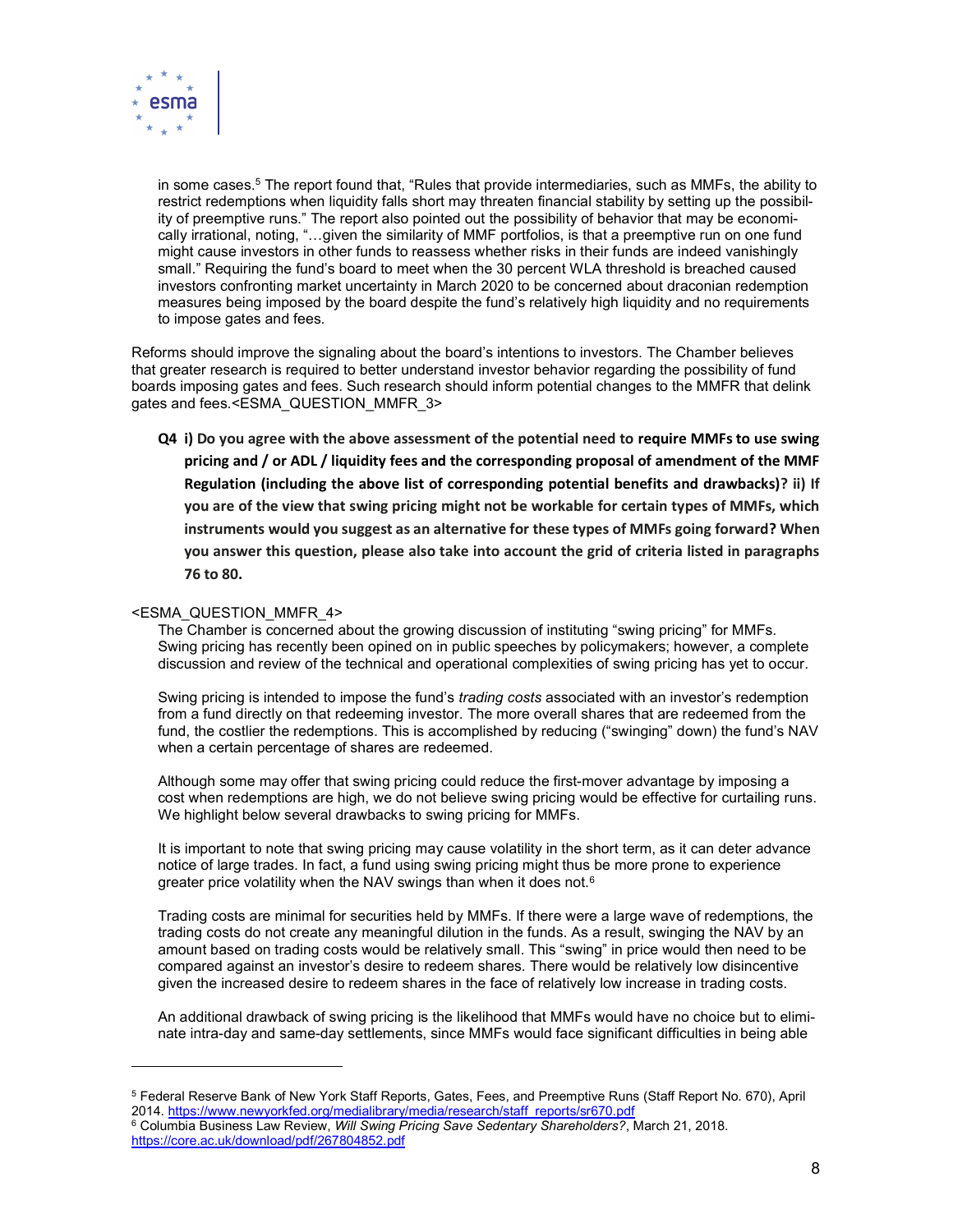

in some cases.<sup>5</sup> The report found that, "Rules that provide intermediaries, such as MMFs, the ability to restrict redemptions when liquidity falls short may threaten financial stability by setting up the possibility of preemptive runs." The report also pointed out the possibility of behavior that may be economically irrational, noting, "…given the similarity of MMF portfolios, is that a preemptive run on one fund might cause investors in other funds to reassess whether risks in their funds are indeed vanishingly small." Requiring the fund's board to meet when the 30 percent WLA threshold is breached caused investors confronting market uncertainty in March 2020 to be concerned about draconian redemption measures being imposed by the board despite the fund's relatively high liquidity and no requirements to impose gates and fees.

Reforms should improve the signaling about the board's intentions to investors. The Chamber believes that greater research is required to better understand investor behavior regarding the possibility of fund boards imposing gates and fees. Such research should inform potential changes to the MMFR that delink gates and fees.<ESMA\_QUESTION\_MMFR\_3>

Q4 i) Do you agree with the above assessment of the potential need to require MMFs to use swing pricing and / or ADL / liquidity fees and the corresponding proposal of amendment of the MMF Regulation (including the above list of corresponding potential benefits and drawbacks)? ii) If you are of the view that swing pricing might not be workable for certain types of MMFs, which instruments would you suggest as an alternative for these types of MMFs going forward? When you answer this question, please also take into account the grid of criteria listed in paragraphs 76 to 80.

#### <ESMA\_QUESTION\_MMFR\_4>

-

The Chamber is concerned about the growing discussion of instituting "swing pricing" for MMFs. Swing pricing has recently been opined on in public speeches by policymakers; however, a complete discussion and review of the technical and operational complexities of swing pricing has yet to occur.

Swing pricing is intended to impose the fund's *trading costs* associated with an investor's redemption from a fund directly on that redeeming investor. The more overall shares that are redeemed from the fund, the costlier the redemptions. This is accomplished by reducing ("swinging" down) the fund's NAV when a certain percentage of shares are redeemed.

Although some may offer that swing pricing could reduce the first-mover advantage by imposing a cost when redemptions are high, we do not believe swing pricing would be effective for curtailing runs. We highlight below several drawbacks to swing pricing for MMFs.

It is important to note that swing pricing may cause volatility in the short term, as it can deter advance notice of large trades. In fact, a fund using swing pricing might thus be more prone to experience greater price volatility when the NAV swings than when it does not.<sup>6</sup>

Trading costs are minimal for securities held by MMFs. If there were a large wave of redemptions, the trading costs do not create any meaningful dilution in the funds. As a result, swinging the NAV by an amount based on trading costs would be relatively small. This "swing" in price would then need to be compared against an investor's desire to redeem shares. There would be relatively low disincentive given the increased desire to redeem shares in the face of relatively low increase in trading costs.

An additional drawback of swing pricing is the likelihood that MMFs would have no choice but to eliminate intra-day and same-day settlements, since MMFs would face significant difficulties in being able

<sup>5</sup> Federal Reserve Bank of New York Staff Reports, Gates, Fees, and Preemptive Runs (Staff Report No. 670), April 2014. https://www.newyorkfed.org/medialibrary/media/research/staff\_reports/sr670.pdf

 $^6$  Columbia Business Law Review, *Will Swing Pricing Save Sedentary Shareholders?*, March 21, 2018. https://core.ac.uk/download/pdf/267804852.pdf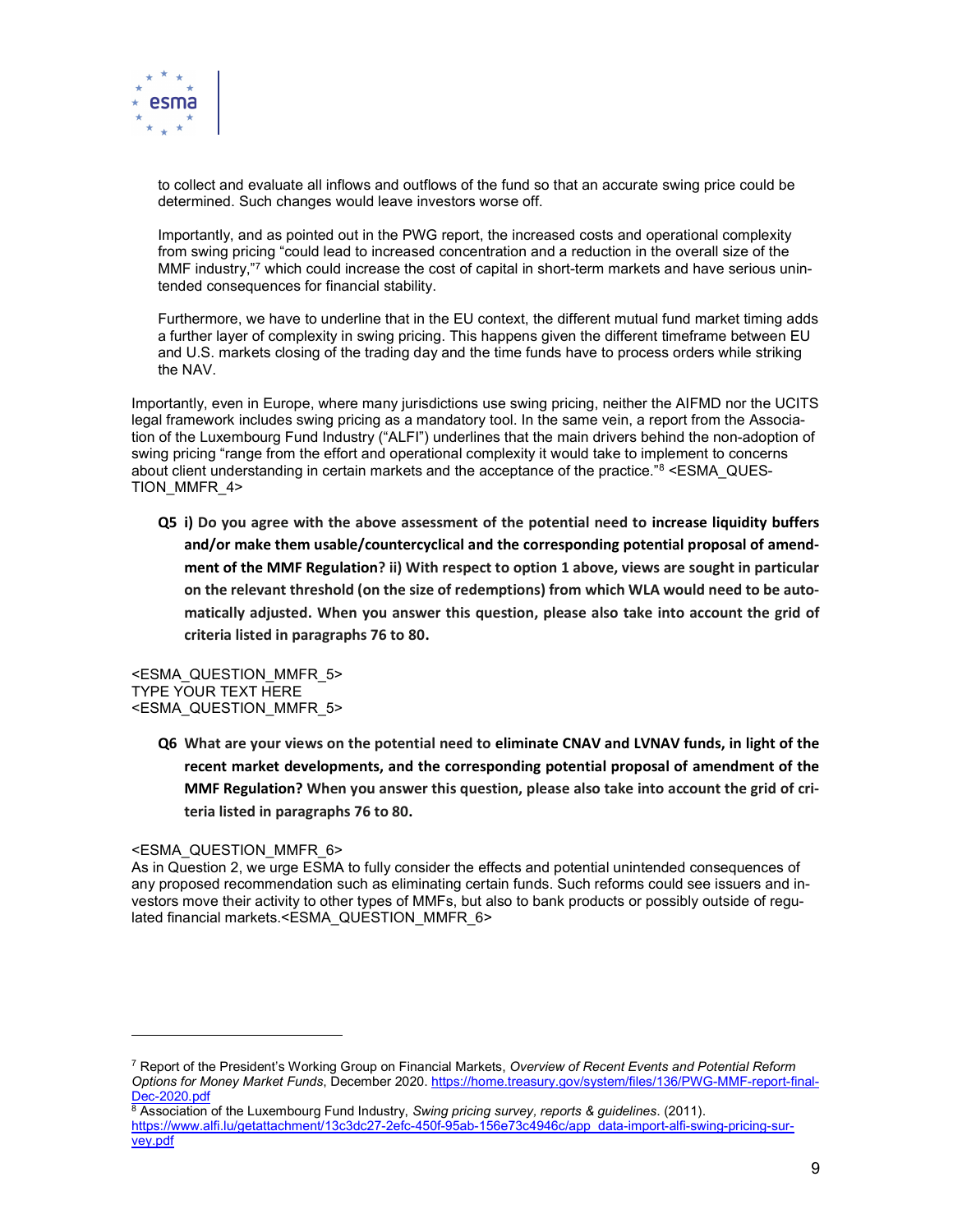

to collect and evaluate all inflows and outflows of the fund so that an accurate swing price could be determined. Such changes would leave investors worse off.

Importantly, and as pointed out in the PWG report, the increased costs and operational complexity from swing pricing "could lead to increased concentration and a reduction in the overall size of the MMF industry,"7 which could increase the cost of capital in short-term markets and have serious unintended consequences for financial stability.

Furthermore, we have to underline that in the EU context, the different mutual fund market timing adds a further layer of complexity in swing pricing. This happens given the different timeframe between EU and U.S. markets closing of the trading day and the time funds have to process orders while striking the NAV.

Importantly, even in Europe, where many jurisdictions use swing pricing, neither the AIFMD nor the UCITS legal framework includes swing pricing as a mandatory tool. In the same vein, a report from the Association of the Luxembourg Fund Industry ("ALFI") underlines that the main drivers behind the non-adoption of swing pricing "range from the effort and operational complexity it would take to implement to concerns about client understanding in certain markets and the acceptance of the practice."<sup>8</sup> <ESMA\_QUES-TION\_MMFR\_4>

Q5 i) Do you agree with the above assessment of the potential need to increase liquidity buffers and/or make them usable/countercyclical and the corresponding potential proposal of amendment of the MMF Regulation? ii) With respect to option 1 above, views are sought in particular on the relevant threshold (on the size of redemptions) from which WLA would need to be automatically adjusted. When you answer this question, please also take into account the grid of criteria listed in paragraphs 76 to 80.

<ESMA\_QUESTION\_MMFR\_5> TYPE YOUR TEXT HERE <ESMA\_QUESTION\_MMFR\_5>

> Q6 What are your views on the potential need to eliminate CNAV and LVNAV funds, in light of the recent market developments, and the corresponding potential proposal of amendment of the MMF Regulation? When you answer this question, please also take into account the grid of criteria listed in paragraphs 76 to 80.

#### <ESMA\_QUESTION\_MMFR\_6>

-

As in Question 2, we urge ESMA to fully consider the effects and potential unintended consequences of any proposed recommendation such as eliminating certain funds. Such reforms could see issuers and investors move their activity to other types of MMFs, but also to bank products or possibly outside of regulated financial markets.<ESMA\_QUESTION\_MMFR\_6>

 $^7$  Report of the President's Working Group on Financial Markets, *Overview of Recent Events and Potential Reform* Options for Money Market Funds, December 2020. https://home.treasury.gov/system/files/136/PWG-MMF-report-final-Dec-2020.pdf

<sup>&</sup>lt;sup>8</sup> Association of the Luxembourg Fund Industry, Swing pricing survey, reports & guidelines. (2011). https://www.alfi.lu/getattachment/13c3dc27-2efc-450f-95ab-156e73c4946c/app\_data-import-alfi-swing-pricing-survey.pdf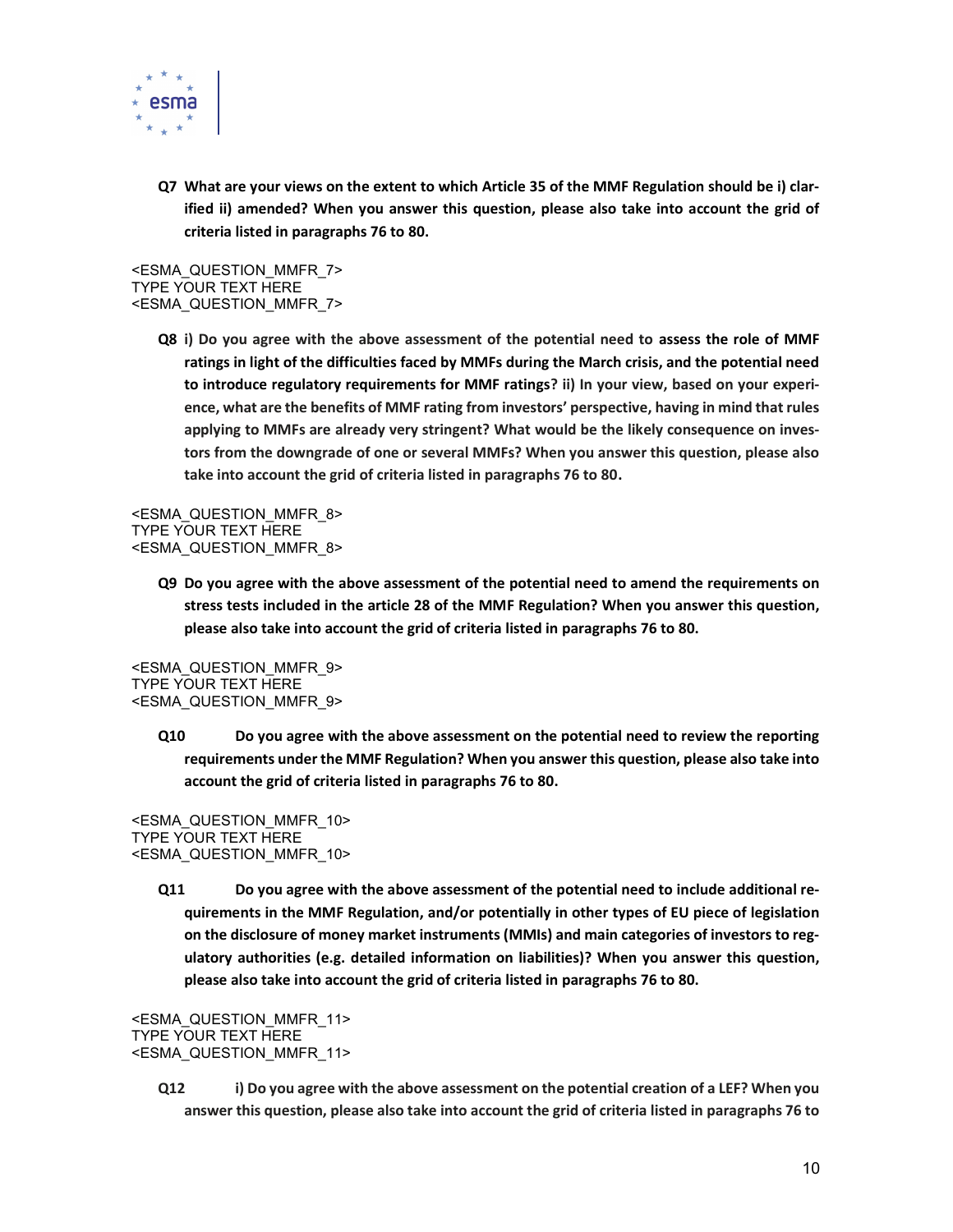

Q7 What are your views on the extent to which Article 35 of the MMF Regulation should be i) clarified ii) amended? When you answer this question, please also take into account the grid of criteria listed in paragraphs 76 to 80.

<ESMA\_QUESTION\_MMFR\_7> TYPE YOUR TEXT HERE <ESMA\_QUESTION\_MMFR\_7>

> Q8 i) Do you agree with the above assessment of the potential need to assess the role of MMF ratings in light of the difficulties faced by MMFs during the March crisis, and the potential need to introduce regulatory requirements for MMF ratings? ii) In your view, based on your experience, what are the benefits of MMF rating from investors' perspective, having in mind that rules applying to MMFs are already very stringent? What would be the likely consequence on investors from the downgrade of one or several MMFs? When you answer this question, please also take into account the grid of criteria listed in paragraphs 76 to 80.

<ESMA\_QUESTION\_MMFR\_8> TYPE YOUR TEXT HERE <ESMA\_QUESTION\_MMFR\_8>

> Q9 Do you agree with the above assessment of the potential need to amend the requirements on stress tests included in the article 28 of the MMF Regulation? When you answer this question, please also take into account the grid of criteria listed in paragraphs 76 to 80.

<ESMA\_QUESTION\_MMFR\_9> TYPE YOUR TEXT HERE <ESMA\_QUESTION\_MMFR\_9>

> Q10 Do you agree with the above assessment on the potential need to review the reporting requirements under the MMF Regulation? When you answer this question, please also take into account the grid of criteria listed in paragraphs 76 to 80.

<ESMA\_QUESTION\_MMFR\_10> TYPE YOUR TEXT HERE <ESMA\_QUESTION\_MMFR\_10>

> Q11 Do you agree with the above assessment of the potential need to include additional requirements in the MMF Regulation, and/or potentially in other types of EU piece of legislation on the disclosure of money market instruments (MMIs) and main categories of investors to regulatory authorities (e.g. detailed information on liabilities)? When you answer this question, please also take into account the grid of criteria listed in paragraphs 76 to 80.

<ESMA\_QUESTION\_MMFR\_11> TYPE YOUR TEXT HERE <ESMA\_QUESTION\_MMFR\_11>

> Q12 i) Do you agree with the above assessment on the potential creation of a LEF? When you answer this question, please also take into account the grid of criteria listed in paragraphs 76 to